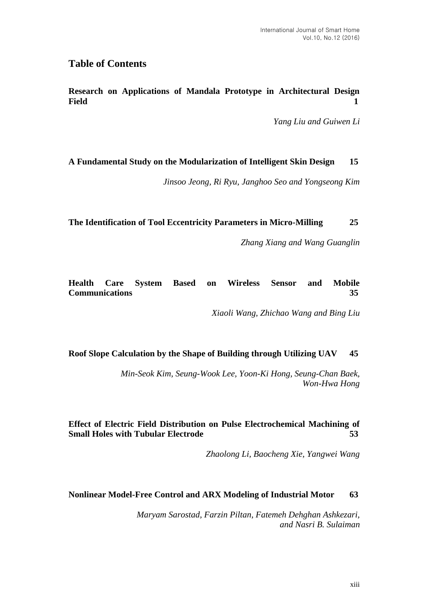# **Table of Contents**

**Research on Applications of Mandala Prototype in Architectural Design Field 1**

*Yang Liu and Guiwen Li*

### **A Fundamental Study on the Modularization of Intelligent Skin Design 15**

*Jinsoo Jeong, Ri Ryu, Janghoo Seo and Yongseong Kim*

### **The Identification of Tool Eccentricity Parameters in Micro-Milling 25**

*Zhang Xiang and Wang Guanglin*

# **Health Care System Based on Wireless Sensor and Mobile Communications 35**

*Xiaoli Wang, Zhichao Wang and Bing Liu*

# **Roof Slope Calculation by the Shape of Building through Utilizing UAV 45**

*Min-Seok Kim, Seung-Wook Lee, Yoon-Ki Hong, Seung-Chan Baek, Won-Hwa Hong*

# **Effect of Electric Field Distribution on Pulse Electrochemical Machining of Small Holes with Tubular Electrode 53**

*Zhaolong Li, Baocheng Xie, Yangwei Wang*

#### **Nonlinear Model-Free Control and ARX Modeling of Industrial Motor 63**

*Maryam Sarostad, Farzin Piltan, Fatemeh Dehghan Ashkezari, and Nasri B. Sulaiman*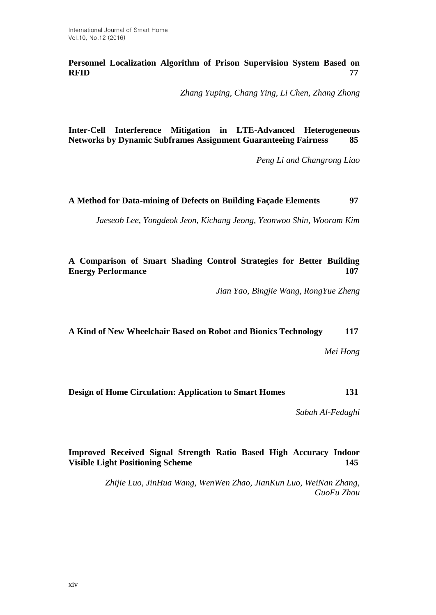**Personnel Localization Algorithm of Prison Supervision System Based on RFID 77**

*Zhang Yuping, Chang Ying, Li Chen, Zhang Zhong*

**Inter-Cell Interference Mitigation in LTE-Advanced Heterogeneous Networks by Dynamic Subframes Assignment Guaranteeing Fairness 85**

*Peng Li and Changrong Liao*

**A Method for Data-mining of Defects on Building Façade Elements 97**

*Jaeseob Lee, Yongdeok Jeon, Kichang Jeong, Yeonwoo Shin, Wooram Kim*

**A Comparison of Smart Shading Control Strategies for Better Building Energy Performance 107**

*Jian Yao, Bingjie Wang, RongYue Zheng*

**A Kind of New Wheelchair Based on Robot and Bionics Technology 117**

*Mei Hong*

**Design of Home Circulation: Application to Smart Homes 131**

*Sabah Al-Fedaghi*

# **Improved Received Signal Strength Ratio Based High Accuracy Indoor Visible Light Positioning Scheme 145**

*Zhijie Luo, JinHua Wang, WenWen Zhao, JianKun Luo, WeiNan Zhang, GuoFu Zhou*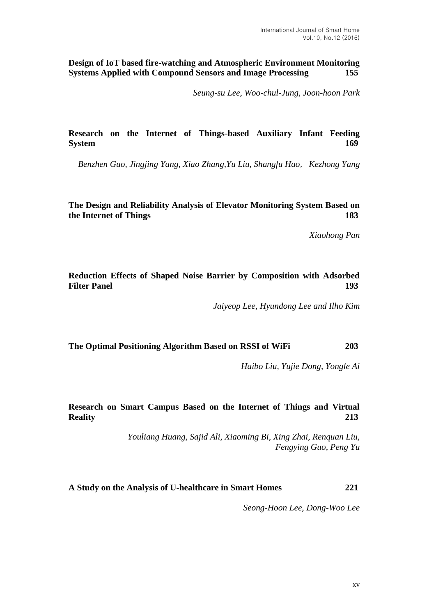**Design of IoT based fire-watching and Atmospheric Environment Monitoring Systems Applied with Compound Sensors and Image Processing 155**

*Seung-su Lee, Woo-chul-Jung, Joon-hoon Park*

### **Research on the Internet of Things-based Auxiliary Infant Feeding System 169**

*Benzhen Guo, Jingjing Yang, Xiao Zhang,Yu Liu, Shangfu Hao*,*Kezhong Yang*

#### **The Design and Reliability Analysis of Elevator Monitoring System Based on the Internet of Things 183**

*Xiaohong Pan*

#### **Reduction Effects of Shaped Noise Barrier by Composition with Adsorbed Filter Panel 193**

*Jaiyeop Lee, Hyundong Lee and Ilho Kim*

#### **The Optimal Positioning Algorithm Based on RSSI of WiFi 203**

*Haibo Liu, Yujie Dong, Yongle Ai*

# **Research on Smart Campus Based on the Internet of Things and Virtual Reality 213**

*Youliang Huang, Sajid Ali, Xiaoming Bi, Xing Zhai, Renquan Liu, Fengying Guo, Peng Yu*

#### **A Study on the Analysis of U-healthcare in Smart Homes 221**

*Seong-Hoon Lee, Dong-Woo Lee*